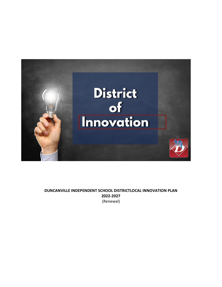

# **DUNCANVILLE INDEPENDENT SCHOOL DISTRICTLOCAL INNOVATION PLAN 2022-2027** (Renewal)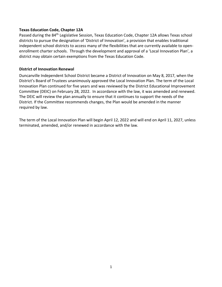## **Texas Education Code, Chapter 12A**

Passed during the 84<sup>th</sup> Legislative Session, Texas Education Code, Chapter 12A allows Texas school districts to pursue the designation of 'District of Innovation', a provision that enables traditional independent school districts to access many of the flexibilities that are currently available to openenrollment charter schools. Through the development and approval of a 'Local Innovation Plan', a district may obtain certain exemptions from the Texas Education Code.

## **District of Innovation Renewal**

Duncanville Independent School District became a District of Innovation on May 8, 2017, when the District's Board of Trustees unanimously approved the Local Innovation Plan. The term of the Local Innovation Plan continued for five years and was reviewed by the District Educational Improvement Committee (DEIC) on February 28, 2022. In accordance with the law, it was amended and renewed. The DEIC will review the plan annually to ensure that it continues to support the needs of the District. If the Committee recommends changes, the Plan would be amended in the manner required by law.

The term of the Local Innovation Plan will begin April 12, 2022 and will end on April 11, 2027, unless terminated, amended, and/or renewed in accordance with the law.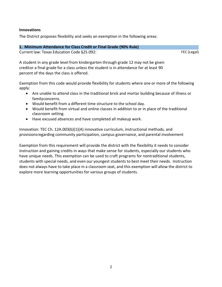### **Innovations**

The District proposes flexibility and seeks an exemption in the following areas:

#### **1. Minimum Attendance for Class Credit or Final Grade (90% Rule)**

Current law: Texas Education Code §25.092:

FEC (Legal)

A student in any grade level from kindergarten through grade 12 may not be given creditor a final grade for a class unless the student is in attendance for at least 90 percent of the days the class is offered.

Exemption from this code would provide flexibility for students where one or more of the following apply:

- Are unable to attend class in the traditional brick and mortar building because of illness or familyconcerns.
- Would benefit from a different time structure to the school day.
- Would benefit from virtual and online classes in addition to or in place of the traditional classroom setting.
- Have excused absences and have completed all makeup work.

Innovation: TEC Ch. 12A.003(b)(1)(A) innovative curriculum, instructional methods, and provisionsregarding community participation, campus governance, and parental involvement

Exemption from this requirement will provide the district with the flexibility it needs to consider instruction and gaining credits in ways that make sense for students, especially our students who have unique needs. This exemption can be used to craft programs for nontraditional students, students with special needs, and even our youngest students to best meet their needs. Instruction does not always have to take place in a classroom seat, and this exemption will allow the district to explore more learning opportunities for various groups of students.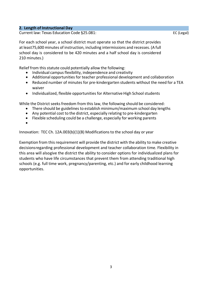### **2. Length of Instructional Day**

Current law: Texas Education Code §25.081:

For each school year, a school district must operate so that the district provides at least75,600 minutes of instruction, including intermissions and recesses. (A full school day is considered to be 420 minutes and a half school day is considered 210 minutes.)

Relief from this statute could potentially allow the following:

- Individual campus flexibility, independence and creativity
- Additional opportunities for teacher professional development and collaboration
- Reduced number of minutes for pre-kindergarten students without the need for a TEA waiver
- Individualized, flexible opportunities for Alternative High School students

While the District seeks freedom from this law, the following should be considered:

- There should be guidelines to establish minimum/maximum school day lengths
- Any potential cost to the district, especially relating to pre-kindergarten
- Flexible scheduling could be a challenge, especially for working parents
- •

Innovation: TEC Ch. 12A.003(b)(1)(B) Modifications to the school day or year

Exemption from thisrequirement will provide the district with the ability to make creative decisionsregarding professional development and teacher collaboration time. Flexibility in this area will alsogive the district the ability to consider options for individualized plans for students who have life circumstances that prevent them from attending traditional high schools (e.g. full time work, pregnancy/parenting, etc.) and for early childhood learning opportunities.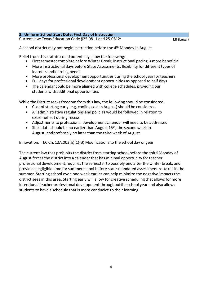# **3. Uniform School Start Date: First Day of Instruction**

Current law: Texas Education Code §25.0811 and 25.0812:

EB (Legal)

A school district may not begin instruction before the 4<sup>th</sup> Monday in August.

Relief from this statute could potentially allow the following:

- First semester complete before Winter Break; instructional pacing is more beneficial
- More instructional days before State Assessments; flexibility for different types of learners andlearning needs
- More professional development opportunities during the school year for teachers
- Full days for professional development opportunities as opposed to half days
- The calendar could be more aligned with college schedules, providing our students withadditional opportunities

While the District seeks freedom from this law, the following should be considered:

- Cost of starting early (e.g. cooling cost in August) should be considered
- All administrative regulations and policies would be followed in relation to extremeheat during recess
- Adjustments to professional development calendar will need to be addressed
- Start date should be no earlier than August 15<sup>th</sup>, the second week in August, andpreferably no later than the third week of August

Innovation: TEC Ch. 12A.003(b)(1)(B) Modifications to the school day or year

The current law that prohibits the district from starting school before the third Monday of August forces the district into a calendar that has minimal opportunity for teacher professional development,requires the semester to possibly end after the winter break, and provides negligible time for summerschool before state-mandated assessment re-takes in the summer. Starting school even one week earlier can help minimize the negative impacts the district sees in this area. Starting early will allow for creative scheduling that allows for more intentional teacher professional development throughoutthe school year and also allows students to have a schedule that is more conducive to their learning.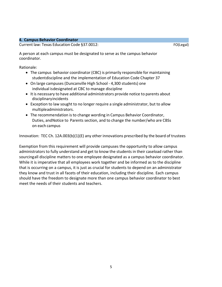### **4. Campus Behavior Coordinator**

Current law: Texas Education Code §37.0012:

FO(Legal)

A person at each campus must be designated to serve as the campus behavior coordinator.

Rationale:

- The campus behavior coordinator (CBC) is primarily responsible for maintaining studentdiscipline and the implementation of Education Code Chapter 37
- On large campuses (Duncanville High School 4,300 students) one individual isdesignated at CBC to manage discipline
- It is necessary to have additional administrators provide notice to parents about disciplinaryincidents
- Exception to law sought to no longer require a single administrator, but to allow multipleadministrators.
- The recommendation isto change wording in Campus Behavior Coordinator, Duties, andNotice to Parents section, and to change the number/who are CBSs on each campus

Innovation: TEC Ch. 12A.003(b)(1)(E) any other innovations prescribed by the board of trustees

Exemption from this requirement will provide campuses the opportunity to allow campus administrators to fully understand and get to know the students in their caseload rather than sourcingall discipline matters to one employee designated as a campus behavior coordinator. While it is imperative that all employees work together and be informed as to the discipline that is occurring on a campus, it is just as crucial for students to depend on an administrator they know and trust in all facets of their education, including their discipline. Each campus should have the freedom to designate more than one campus behavior coordinator to best meet the needs of their students and teachers.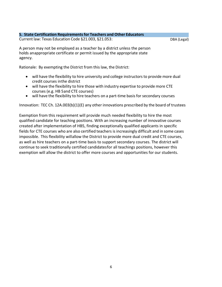#### **5. State Certification Requirementsfor Teachers and Other Educators** Current law: Texas Education Code §21.003, §21.053:

DBA (Legal)

A person may not be employed as a teacher by a district unless the person holds anappropriate certificate or permit issued by the appropriate state agency.

Rationale: By exempting the District from this law, the District:

- will have the flexibility to hire university and college instructors to provide more dual credit courses inthe district
- will have the flexibility to hire those with industry expertise to provide more CTE courses (e.g. HB 5and CTE courses)
- will have the flexibility to hire teachers on a part-time basis for secondary courses

Innovation: TEC Ch. 12A.003(b)(1)(E) any other innovations prescribed by the board of trustees

Exemption from this requirement will provide much needed flexibility to hire the most qualified candidate for teaching positions. With an increasing number of innovative courses created after implementation of HB5, finding exceptionally qualified applicants in specific fields for CTE courses who are also certified teachers is increasingly difficult and in some cases impossible. This flexibility willallow the District to provide more dual credit and CTE courses, as well as hire teachers on a part-time basis to support secondary courses. The district will continue to seek traditionally certified candidatesfor all teachings positions, however this exemption will allow the district to offer more courses and opportunities for our students.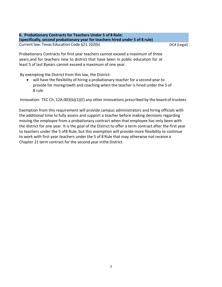**6. Probationary Contracts for Teachers Under 5 of 8 Rule: (specifically,second probationary year for teachers hired under 5 of 8 rule)** Current law: Texas Education Code §21.102(b)

DCA (Legal)

Probationary Contracts for first year teachers cannot exceed a maximum of three years,and for teachers new to district that have been in public education for at least 5 of last 8years cannot exceed a maximum of one year.

By exempting the District from this law, the District:

will have the flexibility of hiring a probationary teacher for a second year to provide for moregrowth and coaching when the teacher is hired under the 5 of 8 rule

Innovation: TEC Ch. 12A.003(b)(1)(E) any other innovations prescribed by the board of trustees

Exemption from this requirement will provide campus administrators and hiring officials with the additional time to fully assess and support a teacher before making decisions regarding moving the employee from a probationary contract when that employee has only been with the district for one year. It is the goal of the District to offer a term contract after the first year to teachers under the 5 of8 Rule, but this exemption will provide more flexibility to continue to work with first year teachers under the 5 of 8 Rule that may otherwise not receive a Chapter 21 term contract for the second year inthe District.